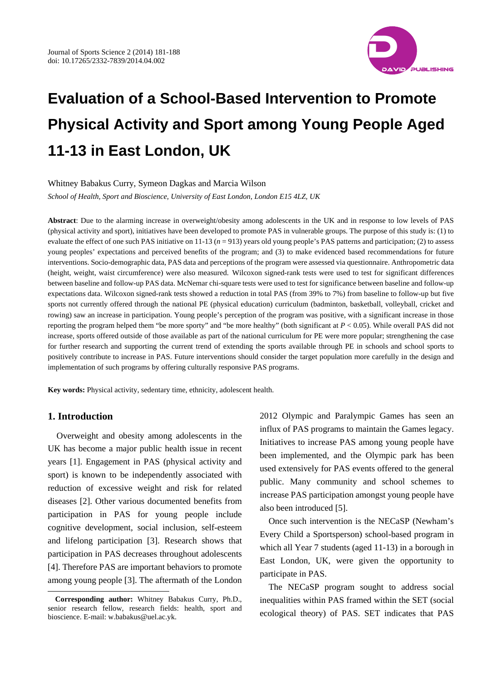

## Whitney Babakus Curry, Symeon Dagkas and Marcia Wilson

*School of Health, Sport and Bioscience, University of East London, London E15 4LZ, UK*

**Abstract**: Due to the alarming increase in overweight/obesity among adolescents in the UK and in response to low levels of PAS (physical activity and sport), initiatives have been developed to promote PAS in vulnerable groups. The purpose of this study is: (1) to evaluate the effect of one such PAS initiative on 11-13 (*n* = 913) years old young people's PAS patterns and participation; (2) to assess young peoples' expectations and perceived benefits of the program; and (3) to make evidenced based recommendations for future interventions. Socio-demographic data, PAS data and perceptions of the program were assessed via questionnaire. Anthropometric data (height, weight, waist circumference) were also measured. Wilcoxon signed-rank tests were used to test for significant differences between baseline and follow-up PAS data. McNemar chi-square tests were used to test for significance between baseline and follow-up expectations data. Wilcoxon signed-rank tests showed a reduction in total PAS (from 39% to 7%) from baseline to follow-up but five sports not currently offered through the national PE (physical education) curriculum (badminton, basketball, volleyball, cricket and rowing) saw an increase in participation. Young people's perception of the program was positive, with a significant increase in those reporting the program helped them "be more sporty" and "be more healthy" (both significant at *P* < 0.05). While overall PAS did not increase, sports offered outside of those available as part of the national curriculum for PE were more popular; strengthening the case for further research and supporting the current trend of extending the sports available through PE in schools and school sports to positively contribute to increase in PAS. Future interventions should consider the target population more carefully in the design and implementation of such programs by offering culturally responsive PAS programs.

**Key words:** Physical activity, sedentary time, ethnicity, adolescent health.

# **1. Introduction**

 $\overline{a}$ 

Overweight and obesity among adolescents in the UK has become a major public health issue in recent years [1]. Engagement in PAS (physical activity and sport) is known to be independently associated with reduction of excessive weight and risk for related diseases [2]. Other various documented benefits from participation in PAS for young people include cognitive development, social inclusion, self-esteem and lifelong participation [3]. Research shows that participation in PAS decreases throughout adolescents [4]. Therefore PAS are important behaviors to promote among young people [3]. The aftermath of the London 2012 Olympic and Paralympic Games has seen an influx of PAS programs to maintain the Games legacy. Initiatives to increase PAS among young people have been implemented, and the Olympic park has been used extensively for PAS events offered to the general public. Many community and school schemes to increase PAS participation amongst young people have also been introduced [5].

Once such intervention is the NECaSP (Newham's Every Child a Sportsperson) school-based program in which all Year 7 students (aged 11-13) in a borough in East London, UK, were given the opportunity to participate in PAS.

The NECaSP program sought to address social inequalities within PAS framed within the SET (social ecological theory) of PAS. SET indicates that PAS

<span id="page-0-0"></span>**Corresponding author:** Whitney Babakus Curry, Ph.D., senior research fellow, research fields: health, sport and bioscience. E-mail: w.babakus@uel.ac.yk.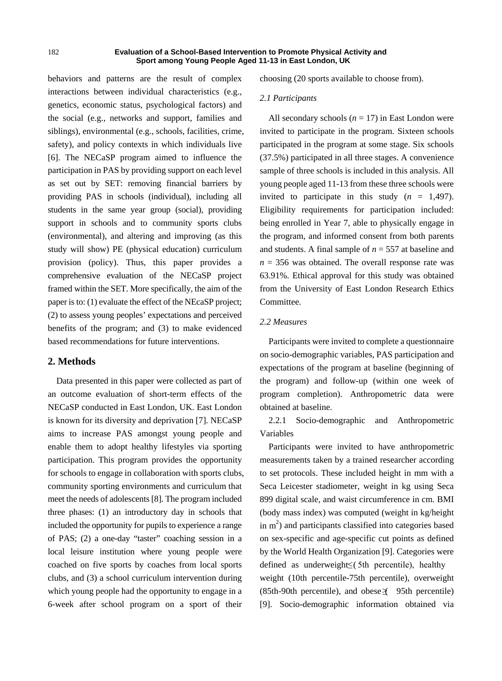behaviors and patterns are the result of complex interactions between individual characteristics (e.g., genetics, economic status, psychological factors) and the social (e.g., networks and support, families and siblings), environmental (e.g., schools, facilities, crime, safety), and policy contexts in which individuals live [6]. The NECaSP program aimed to influence the participation in PAS by providing support on each level as set out by SET: removing financial barriers by providing PAS in schools (individual), including all students in the same year group (social), providing support in schools and to community sports clubs (environmental), and altering and improving (as this study will show) PE (physical education) curriculum provision (policy). Thus, this paper provides a comprehensive evaluation of the NECaSP project framed within the SET. More specifically, the aim of the paper is to: (1) evaluate the effect of the NEcaSP project; (2) to assess young peoples' expectations and perceived benefits of the program; and (3) to make evidenced based recommendations for future interventions.

# **2. Methods**

Data presented in this paper were collected as part of an outcome evaluation of short-term effects of the NECaSP conducted in East London, UK. East London is known for its diversity and deprivation [7]. NECaSP aims to increase PAS amongst young people and enable them to adopt healthy lifestyles via sporting participation. This program provides the opportunity for schools to engage in collaboration with sports clubs, community sporting environments and curriculum that meet the needs of adolescents [8]. The program included three phases: (1) an introductory day in schools that included the opportunity for pupils to experience a range of PAS; (2) a one-day "taster" coaching session in a local leisure institution where young people were coached on five sports by coaches from local sports clubs, and (3) a school curriculum intervention during which young people had the opportunity to engage in a 6-week after school program on a sport of their

choosing (20 sports available to choose from).

## *2.1 Participants*

All secondary schools  $(n = 17)$  in East London were invited to participate in the program. Sixteen schools participated in the program at some stage. Six schools (37.5%) participated in all three stages. A convenience sample of three schools is included in this analysis. All young people aged 11-13 from these three schools were invited to participate in this study  $(n = 1,497)$ . Eligibility requirements for participation included: being enrolled in Year 7, able to physically engage in the program, and informed consent from both parents and students. A final sample of *n* = 557 at baseline and  $n = 356$  was obtained. The overall response rate was 63.91%. Ethical approval for this study was obtained from the University of East London Research Ethics Committee.

## *2.2 Measures*

Participants were invited to complete a questionnaire on socio-demographic variables, PAS participation and expectations of the program at baseline (beginning of the program) and follow-up (within one week of program completion). Anthropometric data were obtained at baseline.

2.2.1 Socio-demographic and Anthropometric Variables

Participants were invited to have anthropometric measurements taken by a trained researcher according to set protocols. These included height in mm with a Seca Leicester stadiometer, weight in kg using Seca 899 digital scale, and waist circumference in cm. BMI (body mass index) was computed (weight in kg/height in  $m<sup>2</sup>$ ) and participants classified into categories based on sex-specific and age-specific cut points as defined by the World Health Organization [9]. Categories were defined as underweight  $\leq$  (5th percentile), healthy weight (10th percentile-75th percentile), overweight  $(85th-90th$  percentile), and obese $\leq$  95th percentile) [9]. Socio-demographic information obtained via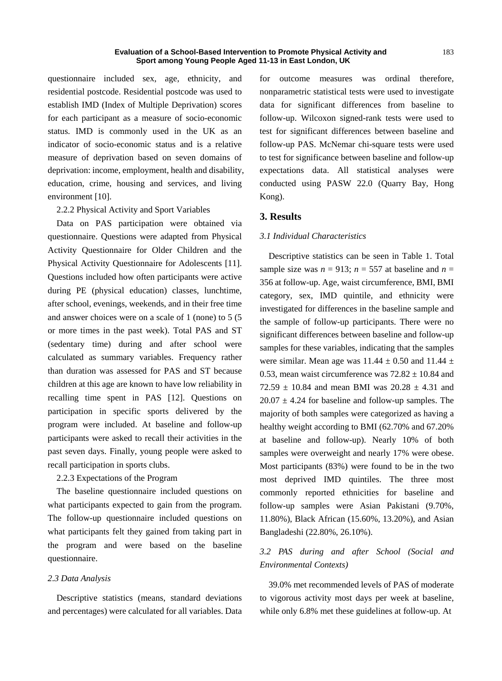questionnaire included sex, age, ethnicity, and residential postcode. Residential postcode was used to establish IMD (Index of Multiple Deprivation) scores for each participant as a measure of socio-economic status. IMD is commonly used in the UK as an indicator of socio-economic status and is a relative measure of deprivation based on seven domains of deprivation: income, employment, health and disability, education, crime, housing and services, and living environment [10].

2.2.2 Physical Activity and Sport Variables

Data on PAS participation were obtained via questionnaire. Questions were adapted from Physical Activity Questionnaire for Older Children and the Physical Activity Questionnaire for Adolescents [11]. Questions included how often participants were active during PE (physical education) classes, lunchtime, after school, evenings, weekends, and in their free time and answer choices were on a scale of 1 (none) to 5 (5 or more times in the past week). Total PAS and ST (sedentary time) during and after school were calculated as summary variables. Frequency rather than duration was assessed for PAS and ST because children at this age are known to have low reliability in recalling time spent in PAS [12]. Questions on participation in specific sports delivered by the program were included. At baseline and follow-up participants were asked to recall their activities in the past seven days. Finally, young people were asked to recall participation in sports clubs.

2.2.3 Expectations of the Program

The baseline questionnaire included questions on what participants expected to gain from the program. The follow-up questionnaire included questions on what participants felt they gained from taking part in the program and were based on the baseline questionnaire.

## *2.3 Data Analysis*

Descriptive statistics (means, standard deviations and percentages) were calculated for all variables. Data for outcome measures was ordinal therefore, nonparametric statistical tests were used to investigate data for significant differences from baseline to follow-up. Wilcoxon signed-rank tests were used to test for significant differences between baseline and follow-up PAS. McNemar chi-square tests were used to test for significance between baseline and follow-up expectations data. All statistical analyses were conducted using PASW 22.0 (Quarry Bay, Hong Kong).

# **3. Results**

## *3.1 Individual Characteristics*

Descriptive statistics can be seen in Table 1. Total sample size was  $n = 913$ ;  $n = 557$  at baseline and  $n =$ 356 at follow-up. Age, waist circumference, BMI, BMI category, sex, IMD quintile, and ethnicity were investigated for differences in the baseline sample and the sample of follow-up participants. There were no significant differences between baseline and follow-up samples for these variables, indicating that the samples were similar. Mean age was  $11.44 \pm 0.50$  and  $11.44 \pm$ 0.53, mean waist circumference was  $72.82 \pm 10.84$  and  $72.59 \pm 10.84$  and mean BMI was  $20.28 \pm 4.31$  and  $20.07 \pm 4.24$  for baseline and follow-up samples. The majority of both samples were categorized as having a healthy weight according to BMI (62.70% and 67.20% at baseline and follow-up). Nearly 10% of both samples were overweight and nearly 17% were obese. Most participants (83%) were found to be in the two most deprived IMD quintiles. The three most commonly reported ethnicities for baseline and follow-up samples were Asian Pakistani (9.70%, 11.80%), Black African (15.60%, 13.20%), and Asian Bangladeshi (22.80%, 26.10%).

# *3.2 PAS during and after School (Social and Environmental Contexts)*

39.0% met recommended levels of PAS of moderate to vigorous activity most days per week at baseline, while only 6.8% met these guidelines at follow-up. At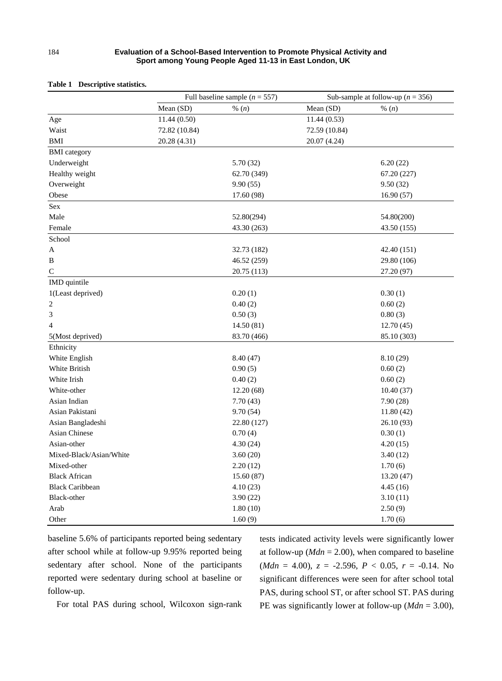|                         | Full baseline sample ( $n = 557$ ) |             | Sub-sample at follow-up ( $n = 356$ ) |             |  |
|-------------------------|------------------------------------|-------------|---------------------------------------|-------------|--|
|                         | Mean (SD)                          | % $(n)$     | Mean (SD)                             | % $(n)$     |  |
| Age                     | 11.44(0.50)                        |             | 11.44(0.53)                           |             |  |
| Waist                   | 72.82 (10.84)                      |             | 72.59 (10.84)                         |             |  |
| BMI                     | 20.28 (4.31)                       |             | 20.07 (4.24)                          |             |  |
| <b>BMI</b> category     |                                    |             |                                       |             |  |
| Underweight             |                                    | 5.70 (32)   |                                       | 6.20(22)    |  |
| Healthy weight          |                                    | 62.70 (349) |                                       | 67.20 (227) |  |
| Overweight              |                                    | 9.90(55)    |                                       | 9.50(32)    |  |
| Obese                   |                                    | 17.60 (98)  |                                       | 16.90(57)   |  |
| Sex                     |                                    |             |                                       |             |  |
| Male                    |                                    | 52.80(294)  |                                       | 54.80(200)  |  |
| Female                  |                                    | 43.30 (263) |                                       | 43.50 (155) |  |
| School                  |                                    |             |                                       |             |  |
| A                       |                                    | 32.73 (182) |                                       | 42.40 (151) |  |
| B                       |                                    | 46.52 (259) |                                       | 29.80 (106) |  |
| $\mathsf{C}$            |                                    | 20.75 (113) |                                       | 27.20 (97)  |  |
| IMD quintile            |                                    |             |                                       |             |  |
| 1(Least deprived)       |                                    | 0.20(1)     |                                       | 0.30(1)     |  |
| 2                       |                                    | 0.40(2)     |                                       | 0.60(2)     |  |
| 3                       |                                    | 0.50(3)     |                                       | 0.80(3)     |  |
| 4                       |                                    | 14.50(81)   |                                       | 12.70(45)   |  |
| 5(Most deprived)        |                                    | 83.70 (466) |                                       | 85.10 (303) |  |
| Ethnicity               |                                    |             |                                       |             |  |
| White English           |                                    | 8.40(47)    |                                       | 8.10(29)    |  |
| White British           |                                    | 0.90(5)     |                                       | 0.60(2)     |  |
| White Irish             |                                    | 0.40(2)     |                                       | 0.60(2)     |  |
| White-other             |                                    | 12.20(68)   |                                       | 10.40(37)   |  |
| Asian Indian            |                                    | 7.70(43)    |                                       | 7.90(28)    |  |
| Asian Pakistani         |                                    | 9.70(54)    |                                       | 11.80(42)   |  |
| Asian Bangladeshi       |                                    | 22.80 (127) |                                       | 26.10 (93)  |  |
| <b>Asian Chinese</b>    |                                    | 0.70(4)     |                                       | 0.30(1)     |  |
| Asian-other             |                                    | 4.30(24)    |                                       | 4.20(15)    |  |
| Mixed-Black/Asian/White |                                    | 3.60(20)    |                                       | 3.40(12)    |  |
| Mixed-other             |                                    | 2.20(12)    |                                       | 1.70(6)     |  |
| <b>Black African</b>    |                                    | 15.60(87)   |                                       | 13.20 (47)  |  |
| <b>Black Caribbean</b>  |                                    | 4.10(23)    |                                       | 4.45(16)    |  |
| Black-other             |                                    | 3.90(22)    |                                       | 3.10(11)    |  |
| Arab                    |                                    | 1.80(10)    |                                       | 2.50(9)     |  |
| Other                   |                                    | 1.60(9)     |                                       | 1.70(6)     |  |

### **Table 1 Descriptive statistics.**

baseline 5.6% of participants reported being sedentary after school while at follow-up 9.95% reported being sedentary after school. None of the participants reported were sedentary during school at baseline or follow-up.

tests indicated activity levels were significantly lower at follow-up ( $Mdn = 2.00$ ), when compared to baseline  $(Mdn = 4.00), z = -2.596, P < 0.05, r = -0.14$ . No significant differences were seen for after school total PAS, during school ST, or after school ST. PAS during PE was significantly lower at follow-up (*Mdn* = 3.00),

For total PAS during school, Wilcoxon sign-rank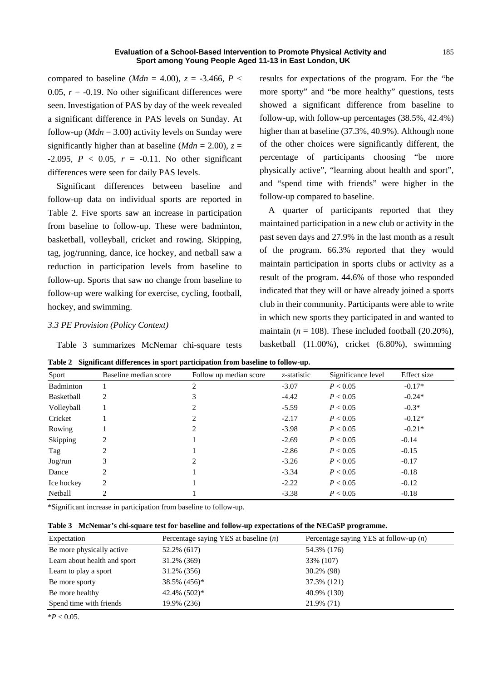compared to baseline (*Mdn* = 4.00),  $z = -3.466$ ,  $P <$ 0.05,  $r = -0.19$ . No other significant differences were seen. Investigation of PAS by day of the week revealed a significant difference in PAS levels on Sunday. At follow-up ( $Mdn = 3.00$ ) activity levels on Sunday were significantly higher than at baseline ( $Mdn = 2.00$ ),  $z =$  $-2.095$ ,  $P < 0.05$ ,  $r = -0.11$ . No other significant differences were seen for daily PAS levels.

Significant differences between baseline and follow-up data on individual sports are reported in Table 2. Five sports saw an increase in participation from baseline to follow-up. These were badminton, basketball, volleyball, cricket and rowing. Skipping, tag, jog/running, dance, ice hockey, and netball saw a reduction in participation levels from baseline to follow-up. Sports that saw no change from baseline to follow-up were walking for exercise, cycling, football, hockey, and swimming.

## *3.3 PE Provision (Policy Context)*

Table 3 summarizes McNemar chi-square tests

results for expectations of the program. For the "be more sporty" and "be more healthy" questions, tests showed a significant difference from baseline to follow-up, with follow-up percentages (38.5%, 42.4%) higher than at baseline (37.3%, 40.9%). Although none of the other choices were significantly different, the percentage of participants choosing "be more physically active", "learning about health and sport", and "spend time with friends" were higher in the follow-up compared to baseline.

A quarter of participants reported that they maintained participation in a new club or activity in the past seven days and 27.9% in the last month as a result of the program. 66.3% reported that they would maintain participation in sports clubs or activity as a result of the program. 44.6% of those who responded indicated that they will or have already joined a sports club in their community. Participants were able to write in which new sports they participated in and wanted to maintain  $(n = 108)$ . These included football  $(20.20\%)$ , basketball (11.00%), cricket (6.80%), swimming

|  |  |  | Table 2 Significant differences in sport participation from baseline to follow-up. |  |  |  |
|--|--|--|------------------------------------------------------------------------------------|--|--|--|
|--|--|--|------------------------------------------------------------------------------------|--|--|--|

| Sport      | Baseline median score | Follow up median score | z-statistic | Significance level | Effect size |
|------------|-----------------------|------------------------|-------------|--------------------|-------------|
| Badminton  |                       | $\overline{c}$         | $-3.07$     | P < 0.05           | $-0.17*$    |
| Basketball | 2                     | 3                      | $-4.42$     | P < 0.05           | $-0.24*$    |
| Volleyball |                       | 2                      | $-5.59$     | P < 0.05           | $-0.3*$     |
| Cricket    |                       | 2                      | $-2.17$     | P < 0.05           | $-0.12*$    |
| Rowing     |                       | 2                      | $-3.98$     | P < 0.05           | $-0.21*$    |
| Skipping   | 2                     |                        | $-2.69$     | P < 0.05           | $-0.14$     |
| Tag        | 2                     |                        | $-2.86$     | P < 0.05           | $-0.15$     |
| Jog/run    | 3                     | $\overline{c}$         | $-3.26$     | P < 0.05           | $-0.17$     |
| Dance      | 2                     |                        | $-3.34$     | P < 0.05           | $-0.18$     |
| Ice hockey | 2                     |                        | $-2.22$     | P < 0.05           | $-0.12$     |
| Netball    | 2                     |                        | $-3.38$     | P < 0.05           | $-0.18$     |

\*Significant increase in participation from baseline to follow-up.

**Table 3 McNemar's chi-square test for baseline and follow-up expectations of the NECaSP programme.** 

| Expectation                  | Percentage saying YES at baseline $(n)$ | Percentage saying YES at follow-up $(n)$ |
|------------------------------|-----------------------------------------|------------------------------------------|
| Be more physically active    | 52.2% (617)                             | 54.3% (176)                              |
| Learn about health and sport | 31.2% (369)                             | 33% (107)                                |
| Learn to play a sport        | 31.2% (356)                             | 30.2% (98)                               |
| Be more sporty               | $38.5\%$ (456) <sup>*</sup>             | 37.3% (121)                              |
| Be more healthy              | $42.4\%$ (502) <sup>*</sup>             | 40.9% (130)                              |
| Spend time with friends      | 19.9% (236)                             | 21.9% (71)                               |

 $*P < 0.05$ .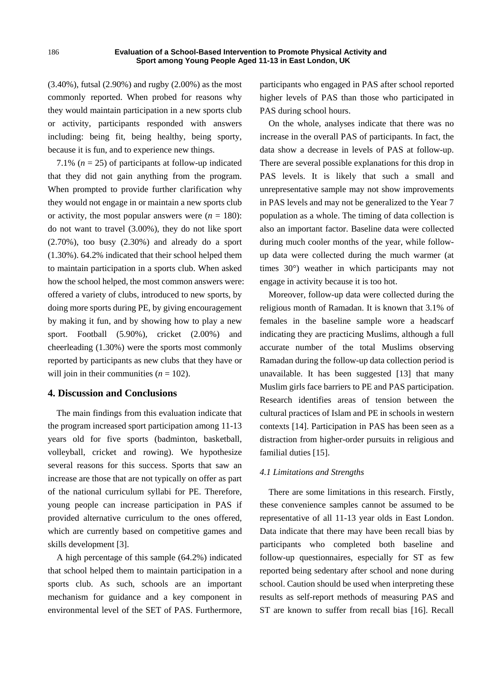(3.40%), futsal (2.90%) and rugby (2.00%) as the most commonly reported. When probed for reasons why they would maintain participation in a new sports club or activity, participants responded with answers including: being fit, being healthy, being sporty, because it is fun, and to experience new things.

7.1%  $(n = 25)$  of participants at follow-up indicated that they did not gain anything from the program. When prompted to provide further clarification why they would not engage in or maintain a new sports club or activity, the most popular answers were  $(n = 180)$ : do not want to travel (3.00%), they do not like sport  $(2.70\%)$ , too busy  $(2.30\%)$  and already do a sport (1.30%). 64.2% indicated that their school helped them to maintain participation in a sports club. When asked how the school helped, the most common answers were: offered a variety of clubs, introduced to new sports, by doing more sports during PE, by giving encouragement by making it fun, and by showing how to play a new sport. Football (5.90%), cricket (2.00%) and cheerleading (1.30%) were the sports most commonly reported by participants as new clubs that they have or will join in their communities  $(n = 102)$ .

# **4. Discussion and Conclusions**

The main findings from this evaluation indicate that the program increased sport participation among 11-13 years old for five sports (badminton, basketball, volleyball, cricket and rowing). We hypothesize several reasons for this success. Sports that saw an increase are those that are not typically on offer as part of the national curriculum syllabi for PE. Therefore, young people can increase participation in PAS if provided alternative curriculum to the ones offered, which are currently based on competitive games and skills development [3].

A high percentage of this sample (64.2%) indicated that school helped them to maintain participation in a sports club. As such, schools are an important mechanism for guidance and a key component in environmental level of the SET of PAS. Furthermore, participants who engaged in PAS after school reported higher levels of PAS than those who participated in PAS during school hours.

On the whole, analyses indicate that there was no increase in the overall PAS of participants. In fact, the data show a decrease in levels of PAS at follow-up. There are several possible explanations for this drop in PAS levels. It is likely that such a small and unrepresentative sample may not show improvements in PAS levels and may not be generalized to the Year 7 population as a whole. The timing of data collection is also an important factor. Baseline data were collected during much cooler months of the year, while followup data were collected during the much warmer (at times 30°) weather in which participants may not engage in activity because it is too hot.

Moreover, follow-up data were collected during the religious month of Ramadan. It is known that 3.1% of females in the baseline sample wore a headscarf indicating they are practicing Muslims, although a full accurate number of the total Muslims observing Ramadan during the follow-up data collection period is unavailable. It has been suggested [13] that many Muslim girls face barriers to PE and PAS participation. Research identifies areas of tension between the cultural practices of Islam and PE in schools in western contexts [14]. Participation in PAS has been seen as a distraction from higher-order pursuits in religious and familial duties [15].

## *4.1 Limitations and Strengths*

There are some limitations in this research. Firstly, these convenience samples cannot be assumed to be representative of all 11-13 year olds in East London. Data indicate that there may have been recall bias by participants who completed both baseline and follow-up questionnaires, especially for ST as few reported being sedentary after school and none during school. Caution should be used when interpreting these results as self-report methods of measuring PAS and ST are known to suffer from recall bias [16]. Recall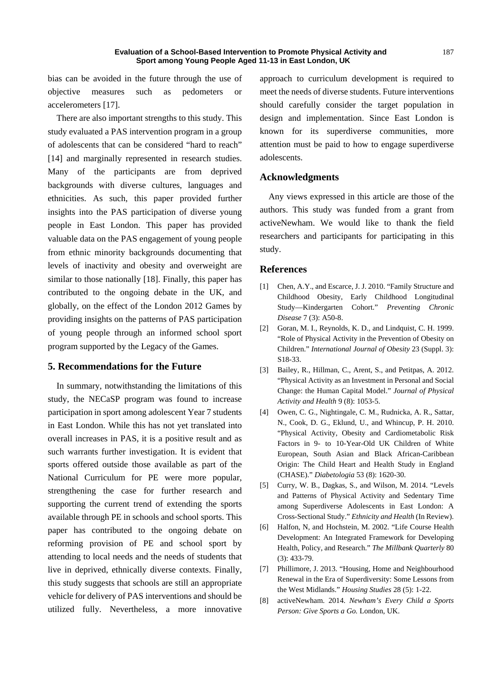bias can be avoided in the future through the use of objective measures such as pedometers or accelerometers [17].

There are also important strengths to this study. This study evaluated a PAS intervention program in a group of adolescents that can be considered "hard to reach" [14] and marginally represented in research studies. Many of the participants are from deprived backgrounds with diverse cultures, languages and ethnicities. As such, this paper provided further insights into the PAS participation of diverse young people in East London. This paper has provided valuable data on the PAS engagement of young people from ethnic minority backgrounds documenting that levels of inactivity and obesity and overweight are similar to those nationally [18]. Finally, this paper has contributed to the ongoing debate in the UK, and globally, on the effect of the London 2012 Games by providing insights on the patterns of PAS participation of young people through an informed school sport program supported by the Legacy of the Games.

# **5. Recommendations for the Future**

In summary, notwithstanding the limitations of this study, the NECaSP program was found to increase participation in sport among adolescent Year 7 students in East London. While this has not yet translated into overall increases in PAS, it is a positive result and as such warrants further investigation. It is evident that sports offered outside those available as part of the National Curriculum for PE were more popular, strengthening the case for further research and supporting the current trend of extending the sports available through PE in schools and school sports. This paper has contributed to the ongoing debate on reforming provision of PE and school sport by attending to local needs and the needs of students that live in deprived, ethnically diverse contexts. Finally, this study suggests that schools are still an appropriate vehicle for delivery of PAS interventions and should be utilized fully. Nevertheless, a more innovative

approach to curriculum development is required to meet the needs of diverse students. Future interventions should carefully consider the target population in design and implementation. Since East London is known for its superdiverse communities, more attention must be paid to how to engage superdiverse adolescents.

# **Acknowledgments**

Any views expressed in this article are those of the authors. This study was funded from a grant from activeNewham. We would like to thank the field researchers and participants for participating in this study.

## **References**

- [1] Chen, A.Y., and Escarce, J. J. 2010. "Family Structure and Childhood Obesity, Early Childhood Longitudinal Study—Kindergarten Cohort." *Preventing Chronic Disease* 7 (3): A50-8.
- [2] Goran, M. I., Reynolds, K. D., and Lindquist, C. H. 1999. "Role of Physical Activity in the Prevention of Obesity on Children." *International Journal of Obesity* 23 (Suppl. 3): S18-33.
- [3] Bailey, R., Hillman, C., Arent, S., and Petitpas, A. 2012. "Physical Activity as an Investment in Personal and Social Change: the Human Capital Model." *Journal of Physical Activity and Health* 9 (8): 1053-5.
- [4] Owen, C. G., Nightingale, C. M., Rudnicka, A. R., Sattar, N., Cook, D. G., Eklund, U., and Whincup, P. H. 2010. "Physical Activity, Obesity and Cardiometabolic Risk Factors in 9- to 10-Year-Old UK Children of White European, South Asian and Black African-Caribbean Origin: The Child Heart and Health Study in England (CHASE)." *Diabetologia* 53 (8): 1620-30.
- [5] Curry, W. B., Dagkas, S., and Wilson, M. 2014. "Levels and Patterns of Physical Activity and Sedentary Time among Superdiverse Adolescents in East London: A Cross-Sectional Study." *Ethnicity and Health* (In Review).
- [6] Halfon, N, and Hochstein, M. 2002. "Life Course Health Development: An Integrated Framework for Developing Health, Policy, and Research." *The Millbank Quarterly* 80 (3): 433-79.
- [7] Phillimore, J. 2013. "Housing, Home and Neighbourhood Renewal in the Era of Superdiversity: Some Lessons from the West Midlands." *Housing Studies* 28 (5): 1-22.
- [8] activeNewham. 2014. *Newham's Every Child a Sports Person: Give Sports a Go.* London, UK.